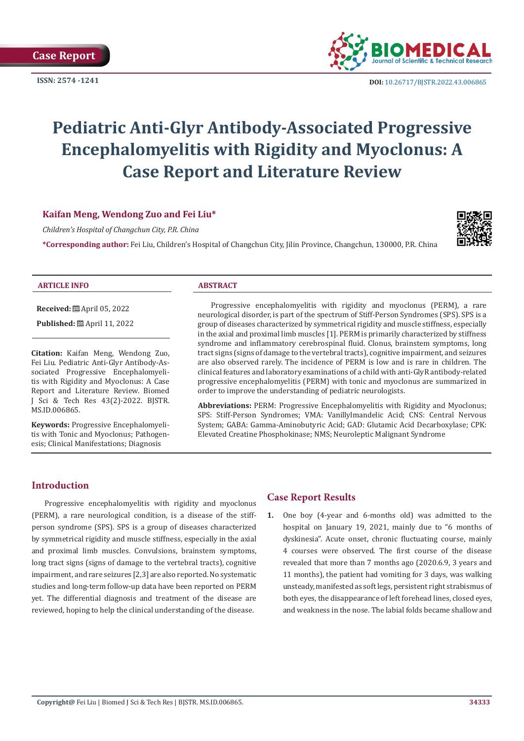

**ISSN:** 2574 -1241 **DOI:** [10.26717/BJSTR.2022.43.006865](https://dx.doi.org/10.26717/BJSTR.2022.43.006865)

# **Pediatric Anti-Glyr Antibody-Associated Progressive Encephalomyelitis with Rigidity and Myoclonus: A Case Report and Literature Review**

# **Kaifan Meng, Wendong Zuo and Fei Liu\***

*Children's Hospital of Changchun City, P.R. China*

**\*Corresponding author:** Fei Liu, Children's Hospital of Changchun City, Jilin Province, Changchun, 130000, P.R. China



#### **ARTICLE INFO ABSTRACT**

**Received:** April 05, 2022

**Published:**  $\mathbf{A}$  April 11, 2022

**Citation:** Kaifan Meng, Wendong Zuo, Fei Liu. Pediatric Anti-Glyr Antibody-Associated Progressive Encephalomyelitis with Rigidity and Myoclonus: A Case Report and Literature Review. Biomed J Sci & Tech Res 43(2)-2022. BJSTR. MS.ID.006865.

**Keywords:** Progressive Encephalomyelitis with Tonic and Myoclonus; Pathogenesis; Clinical Manifestations; Diagnosis

Progressive encephalomyelitis with rigidity and myoclonus (PERM), a rare neurological disorder, is part of the spectrum of Stiff-Person Syndromes (SPS). SPS is a group of diseases characterized by symmetrical rigidity and muscle stiffness, especially in the axial and proximal limb muscles [1]. PERM is primarily characterized by stiffness syndrome and inflammatory cerebrospinal fluid. Clonus, brainstem symptoms, long tract signs (signs of damage to the vertebral tracts), cognitive impairment, and seizures are also observed rarely. The incidence of PERM is low and is rare in children. The clinical features and laboratory examinations of a child with anti-GlyR antibody-related progressive encephalomyelitis (PERM) with tonic and myoclonus are summarized in order to improve the understanding of pediatric neurologists.

**Abbreviations:** PERM: Progressive Encephalomyelitis with Rigidity and Myoclonus; SPS: Stiff-Person Syndromes; VMA: Vanillylmandelic Acid; CNS: Central Nervous System; GABA: Gamma-Aminobutyric Acid; GAD: Glutamic Acid Decarboxylase; CPK: Elevated Creatine Phosphokinase; NMS; Neuroleptic Malignant Syndrome

## **Introduction**

Progressive encephalomyelitis with rigidity and myoclonus (PERM), a rare neurological condition, is a disease of the stiffperson syndrome (SPS). SPS is a group of diseases characterized by symmetrical rigidity and muscle stiffness, especially in the axial and proximal limb muscles. Convulsions, brainstem symptoms, long tract signs (signs of damage to the vertebral tracts), cognitive impairment, and rare seizures [2,3] are also reported. No systematic studies and long-term follow-up data have been reported on PERM yet. The differential diagnosis and treatment of the disease are reviewed, hoping to help the clinical understanding of the disease.

# **Case Report Results**

**1.** One boy (4-year and 6-months old) was admitted to the hospital on January 19, 2021, mainly due to "6 months of dyskinesia". Acute onset, chronic fluctuating course, mainly 4 courses were observed. The first course of the disease revealed that more than 7 months ago (2020.6.9, 3 years and 11 months), the patient had vomiting for 3 days, was walking unsteady, manifested as soft legs, persistent right strabismus of both eyes, the disappearance of left forehead lines, closed eyes, and weakness in the nose. The labial folds became shallow and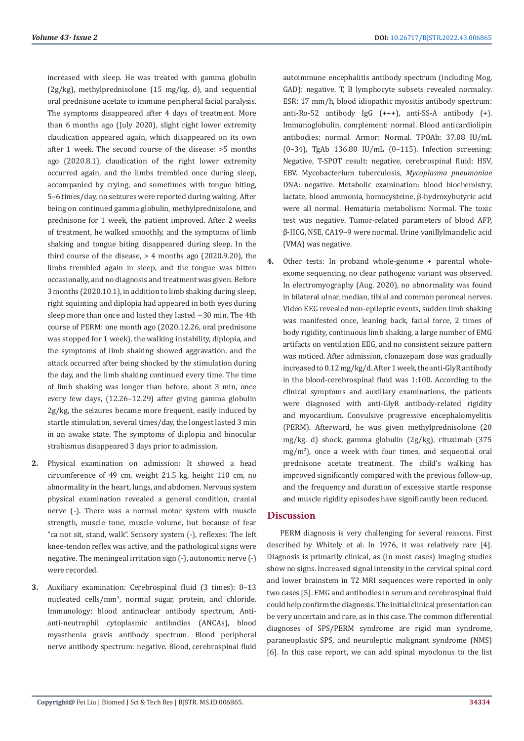increased with sleep. He was treated with gamma globulin (2g/kg), methylprednisolone (15 mg/kg. d), and sequential oral prednisone acetate to immune peripheral facial paralysis. The symptoms disappeared after 4 days of treatment. More than 6 months ago (July 2020), slight right lower extremity claudication appeared again, which disappeared on its own after 1 week. The second course of the disease: >5 months ago (2020.8.1), claudication of the right lower extremity occurred again, and the limbs trembled once during sleep, accompanied by crying, and sometimes with tongue biting, 5–6 times/day, no seizures were reported during waking. After being on continued gamma globulin, methylprednisolone, and prednisone for 1 week, the patient improved. After 2 weeks of treatment, he walked smoothly, and the symptoms of limb shaking and tongue biting disappeared during sleep. In the third course of the disease,  $> 4$  months ago (2020.9.20), the limbs trembled again in sleep, and the tongue was bitten occasionally, and no diagnosis and treatment was given. Before 3 months (2020.10.1), in addition to limb shaking during sleep, right squinting and diplopia had appeared in both eyes during sleep more than once and lasted they lasted  $\sim$ 30 min. The 4th course of PERM: one month ago (2020.12.26, oral prednisone was stopped for 1 week), the walking instability, diplopia, and the symptoms of limb shaking showed aggravation, and the attack occurred after being shocked by the stimulation during the day, and the limb shaking continued every time. The time of limb shaking was longer than before, about 3 min, once every few days, (12.26–12.29) after giving gamma globulin 2g/kg, the seizures became more frequent, easily induced by startle stimulation, several times/day, the longest lasted 3 min in an awake state. The symptoms of diplopia and binocular strabismus disappeared 3 days prior to admission.

- **2.** Physical examination on admission: It showed a head circumference of 49 cm, weight 21.5 kg, height 110 cm, no abnormality in the heart, lungs, and abdomen. Nervous system physical examination revealed a general condition, cranial nerve (-). There was a normal motor system with muscle strength, muscle tone, muscle volume, but because of fear "ca not sit, stand, walk". Sensory system (-), reflexes: The left knee-tendon reflex was active, and the pathological signs were negative. The meningeal irritation sign (-), autonomic nerve (-) were recorded.
- **3.** Auxiliary examination: Cerebrospinal fluid (3 times): 8–13 nucleated cells/mm<sup>3</sup> , normal sugar, protein, and chloride. Immunology: blood antinuclear antibody spectrum, Antianti-neutrophil cytoplasmic antibodies (ANCAs), blood myasthenia gravis antibody spectrum. Blood peripheral nerve antibody spectrum: negative. Blood, cerebrospinal fluid

autoimmune encephalitis antibody spectrum (including Mog, GAD): negative. T, B lymphocyte subsets revealed normalcy. ESR: 17 mm/h, blood idiopathic myositis antibody spectrum: anti-Ro-52 antibody IgG (+++), anti-SS-A antibody (+). Immunoglobulin, complement: normal. Blood anticardiolipin antibodies: normal. Armor: Normal. TPOAb: 37.08 IU/mL (0–34), TgAb 136.80 IU/mL (0–115). Infection screening: Negative, T-SPOT result: negative, cerebrospinal fluid: HSV, EBV. Mycobacterium tuberculosis, *Mycoplasma pneumoniae* DNA: negative. Metabolic examination: blood biochemistry, lactate, blood ammonia, homocysteine, β-hydroxybutyric acid were all normal. Hematuria metabolism: Normal. The toxic test was negative. Tumor-related parameters of blood AFP, β-HCG, NSE, CA19–9 were normal. Urine vanillylmandelic acid (VMA) was negative.

**4.** Other tests: In proband whole-genome + parental wholeexome sequencing, no clear pathogenic variant was observed. In electromyography (Aug. 2020), no abnormality was found in bilateral ulnar, median, tibial and common peroneal nerves. Video EEG revealed non-epileptic events, sudden limb shaking was manifested once, leaning back, facial force, 2 times of body rigidity, continuous limb shaking, a large number of EMG artifacts on ventilation EEG, and no consistent seizure pattern was noticed. After admission, clonazepam dose was gradually increased to 0.12 mg/kg/d. After 1 week, the anti-GlyR antibody in the blood-cerebrospinal fluid was 1:100. According to the clinical symptoms and auxiliary examinations, the patients were diagnosed with anti-GlyR antibody-related rigidity and myocardium. Convulsive progressive encephalomyelitis (PERM). Afterward, he was given methylprednisolone (20 mg/kg. d) shock, gamma globulin (2g/kg), rituximab (375 mg/m<sup>2</sup> ), once a week with four times, and sequential oral prednisone acetate treatment. The child's walking has improved significantly compared with the previous follow-up, and the frequency and duration of excessive startle response and muscle rigidity episodes have significantly been reduced.

#### **Discussion**

PERM diagnosis is very challenging for several reasons. First described by Whitely et al. In 1976, it was relatively rare [4]. Diagnosis is primarily clinical, as (in most cases) imaging studies show no signs. Increased signal intensity in the cervical spinal cord and lower brainstem in T2 MRI sequences were reported in only two cases [5]. EMG and antibodies in serum and cerebrospinal fluid could help confirm the diagnosis. The initial clinical presentation can be very uncertain and rare, as in this case. The common differential diagnoses of SPS/PERM syndrome are rigid man syndrome, paraneoplastic SPS, and neuroleptic malignant syndrome (NMS) [6]. In this case report, we can add spinal myoclonus to the list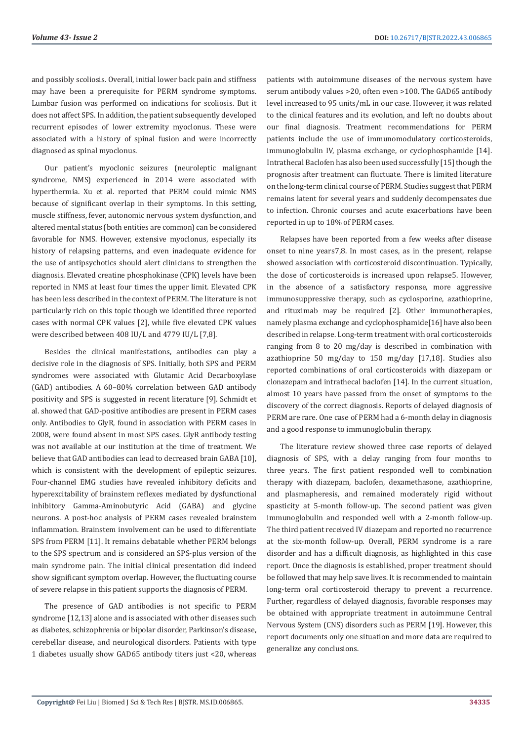and possibly scoliosis. Overall, initial lower back pain and stiffness may have been a prerequisite for PERM syndrome symptoms. Lumbar fusion was performed on indications for scoliosis. But it does not affect SPS. In addition, the patient subsequently developed recurrent episodes of lower extremity myoclonus. These were associated with a history of spinal fusion and were incorrectly diagnosed as spinal myoclonus.

Our patient's myoclonic seizures (neuroleptic malignant syndrome, NMS) experienced in 2014 were associated with hyperthermia. Xu et al. reported that PERM could mimic NMS because of significant overlap in their symptoms. In this setting, muscle stiffness, fever, autonomic nervous system dysfunction, and altered mental status (both entities are common) can be considered favorable for NMS. However, extensive myoclonus, especially its history of relapsing patterns, and even inadequate evidence for the use of antipsychotics should alert clinicians to strengthen the diagnosis. Elevated creatine phosphokinase (CPK) levels have been reported in NMS at least four times the upper limit. Elevated CPK has been less described in the context of PERM. The literature is not particularly rich on this topic though we identified three reported cases with normal CPK values [2], while five elevated CPK values were described between 408 IU/L and 4779 IU/L [7,8].

Besides the clinical manifestations, antibodies can play a decisive role in the diagnosis of SPS. Initially, both SPS and PERM syndromes were associated with Glutamic Acid Decarboxylase (GAD) antibodies. A 60–80% correlation between GAD antibody positivity and SPS is suggested in recent literature [9]. Schmidt et al. showed that GAD-positive antibodies are present in PERM cases only. Antibodies to GlyR, found in association with PERM cases in 2008, were found absent in most SPS cases. GlyR antibody testing was not available at our institution at the time of treatment. We believe that GAD antibodies can lead to decreased brain GABA [10], which is consistent with the development of epileptic seizures. Four-channel EMG studies have revealed inhibitory deficits and hyperexcitability of brainstem reflexes mediated by dysfunctional inhibitory Gamma-Aminobutyric Acid (GABA) and glycine neurons. A post-hoc analysis of PERM cases revealed brainstem inflammation. Brainstem involvement can be used to differentiate SPS from PERM [11]. It remains debatable whether PERM belongs to the SPS spectrum and is considered an SPS-plus version of the main syndrome pain. The initial clinical presentation did indeed show significant symptom overlap. However, the fluctuating course of severe relapse in this patient supports the diagnosis of PERM.

The presence of GAD antibodies is not specific to PERM syndrome [12,13] alone and is associated with other diseases such as diabetes, schizophrenia or bipolar disorder, Parkinson's disease, cerebellar disease, and neurological disorders. Patients with type 1 diabetes usually show GAD65 antibody titers just <20, whereas

patients with autoimmune diseases of the nervous system have serum antibody values >20, often even >100. The GAD65 antibody level increased to 95 units/mL in our case. However, it was related to the clinical features and its evolution, and left no doubts about our final diagnosis. Treatment recommendations for PERM patients include the use of immunomodulatory corticosteroids, immunoglobulin IV, plasma exchange, or cyclophosphamide [14]. Intrathecal Baclofen has also been used successfully [15] though the prognosis after treatment can fluctuate. There is limited literature on the long-term clinical course of PERM. Studies suggest that PERM remains latent for several years and suddenly decompensates due to infection. Chronic courses and acute exacerbations have been reported in up to 18% of PERM cases.

Relapses have been reported from a few weeks after disease onset to nine years7,8. In most cases, as in the present, relapse showed association with corticosteroid discontinuation. Typically, the dose of corticosteroids is increased upon relapse5. However, in the absence of a satisfactory response, more aggressive immunosuppressive therapy, such as cyclosporine, azathioprine, and rituximab may be required [2]. Other immunotherapies, namely plasma exchange and cyclophosphamide[16] have also been described in relapse. Long-term treatment with oral corticosteroids ranging from 8 to 20 mg/day is described in combination with azathioprine 50 mg/day to 150 mg/day [17,18]. Studies also reported combinations of oral corticosteroids with diazepam or clonazepam and intrathecal baclofen [14]. In the current situation, almost 10 years have passed from the onset of symptoms to the discovery of the correct diagnosis. Reports of delayed diagnosis of PERM are rare. One case of PERM had a 6-month delay in diagnosis and a good response to immunoglobulin therapy.

The literature review showed three case reports of delayed diagnosis of SPS, with a delay ranging from four months to three years. The first patient responded well to combination therapy with diazepam, baclofen, dexamethasone, azathioprine, and plasmapheresis, and remained moderately rigid without spasticity at 5-month follow-up. The second patient was given immunoglobulin and responded well with a 2-month follow-up. The third patient received IV diazepam and reported no recurrence at the six-month follow-up. Overall, PERM syndrome is a rare disorder and has a difficult diagnosis, as highlighted in this case report. Once the diagnosis is established, proper treatment should be followed that may help save lives. It is recommended to maintain long-term oral corticosteroid therapy to prevent a recurrence. Further, regardless of delayed diagnosis, favorable responses may be obtained with appropriate treatment in autoimmune Central Nervous System (CNS) disorders such as PERM [19]. However, this report documents only one situation and more data are required to generalize any conclusions.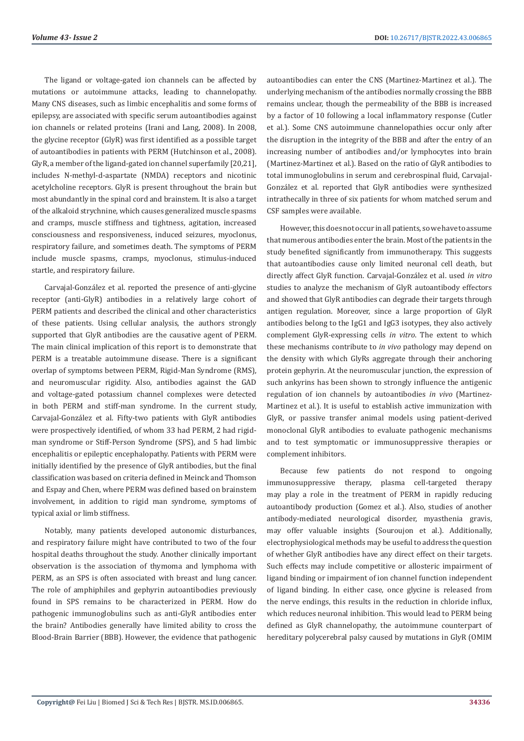The ligand or voltage-gated ion channels can be affected by mutations or autoimmune attacks, leading to channelopathy. Many CNS diseases, such as limbic encephalitis and some forms of epilepsy, are associated with specific serum autoantibodies against ion channels or related proteins (Irani and Lang, 2008). In 2008, the glycine receptor (GlyR) was first identified as a possible target of autoantibodies in patients with PERM (Hutchinson et al., 2008). GlyR, a member of the ligand-gated ion channel superfamily [20,21], includes N-methyl-d-aspartate (NMDA) receptors and nicotinic acetylcholine receptors. GlyR is present throughout the brain but most abundantly in the spinal cord and brainstem. It is also a target of the alkaloid strychnine, which causes generalized muscle spasms and cramps, muscle stiffness and tightness, agitation, increased consciousness and responsiveness, induced seizures, myoclonus, respiratory failure, and sometimes death. The symptoms of PERM include muscle spasms, cramps, myoclonus, stimulus-induced startle, and respiratory failure.

Carvajal-González et al. reported the presence of anti-glycine receptor (anti-GlyR) antibodies in a relatively large cohort of PERM patients and described the clinical and other characteristics of these patients. Using cellular analysis, the authors strongly supported that GlyR antibodies are the causative agent of PERM. The main clinical implication of this report is to demonstrate that PERM is a treatable autoimmune disease. There is a significant overlap of symptoms between PERM, Rigid-Man Syndrome (RMS), and neuromuscular rigidity. Also, antibodies against the GAD and voltage-gated potassium channel complexes were detected in both PERM and stiff-man syndrome. In the current study, Carvajal-González et al. Fifty-two patients with GlyR antibodies were prospectively identified, of whom 33 had PERM, 2 had rigidman syndrome or Stiff-Person Syndrome (SPS), and 5 had limbic encephalitis or epileptic encephalopathy. Patients with PERM were initially identified by the presence of GlyR antibodies, but the final classification was based on criteria defined in Meinck and Thomson and Espay and Chen, where PERM was defined based on brainstem involvement, in addition to rigid man syndrome, symptoms of typical axial or limb stiffness.

Notably, many patients developed autonomic disturbances, and respiratory failure might have contributed to two of the four hospital deaths throughout the study. Another clinically important observation is the association of thymoma and lymphoma with PERM, as an SPS is often associated with breast and lung cancer. The role of amphiphiles and gephyrin autoantibodies previously found in SPS remains to be characterized in PERM. How do pathogenic immunoglobulins such as anti-GlyR antibodies enter the brain? Antibodies generally have limited ability to cross the Blood-Brain Barrier (BBB). However, the evidence that pathogenic autoantibodies can enter the CNS (Martinez-Martinez et al.). The underlying mechanism of the antibodies normally crossing the BBB remains unclear, though the permeability of the BBB is increased by a factor of 10 following a local inflammatory response (Cutler et al.). Some CNS autoimmune channelopathies occur only after the disruption in the integrity of the BBB and after the entry of an increasing number of antibodies and/or lymphocytes into brain (Martinez-Martinez et al.). Based on the ratio of GlyR antibodies to total immunoglobulins in serum and cerebrospinal fluid, Carvajal-González et al. reported that GlyR antibodies were synthesized intrathecally in three of six patients for whom matched serum and CSF samples were available.

However, this does not occur in all patients, so we have to assume that numerous antibodies enter the brain. Most of the patients in the study benefited significantly from immunotherapy. This suggests that autoantibodies cause only limited neuronal cell death, but directly affect GlyR function. Carvajal-González et al. used *in vitro* studies to analyze the mechanism of GlyR autoantibody effectors and showed that GlyR antibodies can degrade their targets through antigen regulation. Moreover, since a large proportion of GlyR antibodies belong to the IgG1 and IgG3 isotypes, they also actively complement GlyR-expressing cells *in vitro*. The extent to which these mechanisms contribute to *in vivo* pathology may depend on the density with which GlyRs aggregate through their anchoring protein gephyrin. At the neuromuscular junction, the expression of such ankyrins has been shown to strongly influence the antigenic regulation of ion channels by autoantibodies *in vivo* (Martinez-Martinez et al.). It is useful to establish active immunization with GlyR, or passive transfer animal models using patient-derived monoclonal GlyR antibodies to evaluate pathogenic mechanisms and to test symptomatic or immunosuppressive therapies or complement inhibitors.

Because few patients do not respond to ongoing immunosuppressive therapy, plasma cell-targeted therapy may play a role in the treatment of PERM in rapidly reducing autoantibody production (Gomez et al.). Also, studies of another antibody-mediated neurological disorder, myasthenia gravis, may offer valuable insights (Souroujon et al.). Additionally, electrophysiological methods may be useful to address the question of whether GlyR antibodies have any direct effect on their targets. Such effects may include competitive or allosteric impairment of ligand binding or impairment of ion channel function independent of ligand binding. In either case, once glycine is released from the nerve endings, this results in the reduction in chloride influx, which reduces neuronal inhibition. This would lead to PERM being defined as GlyR channelopathy, the autoimmune counterpart of hereditary polycerebral palsy caused by mutations in GlyR (OMIM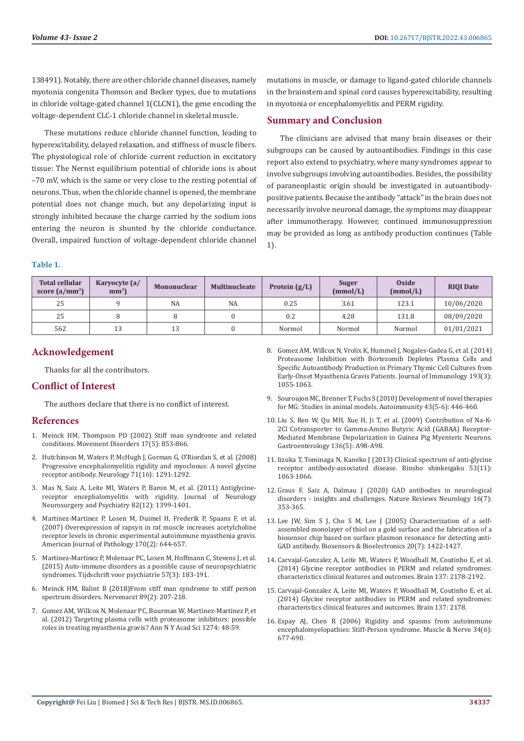138491). Notably, there are other chloride channel diseases, namely myotonia congenita Thomson and Becker types, due to mutations in chloride voltage-gated channel 1(CLCN1), the gene encoding the voltage-dependent CLC-1 chloride channel in skeletal muscle.

These mutations reduce chloride channel function, leading to hyperexcitability, delayed relaxation, and stiffness of muscle fibers. The physiological role of chloride current reduction in excitatory tissue: The Nernst equilibrium potential of chloride ions is about –70 mV, which is the same or very close to the resting potential of neurons. Thus, when the chloride channel is opened, the membrane potential does not change much, but any depolarizing input is strongly inhibited because the charge carried by the sodium ions entering the neuron is shunted by the chloride conductance. Overall, impaired function of voltage-dependent chloride channel mutations in muscle, or damage to ligand-gated chloride channels in the brainstem and spinal cord causes hyperexcitability, resulting in myotonia or encephalomyelitis and PERM rigidity.

# **Summary and Conclusion**

The clinicians are advised that many brain diseases or their subgroups can be caused by autoantibodies. Findings in this case report also extend to psychiatry, where many syndromes appear to involve subgroups involving autoantibodies. Besides, the possibility of paraneoplastic origin should be investigated in autoantibodypositive patients. Because the antibody "attack" in the brain does not necessarily involve neuronal damage, the symptoms may disappear after immunotherapy. However, continued immunosuppression may be provided as long as antibody production continues (Table 1).

#### **Table 1.**

| <b>Total cellular</b><br>score $(a/mm^3)$ | Karyocyte (a/<br>mm <sup>3</sup> | <b>Mononuclear</b> | <b>Multinucleate</b> | Protein $(g/L)$ | Suger<br>(mmol/L) | Oxide<br>(mmol/L) | <b>RIOI</b> Date |
|-------------------------------------------|----------------------------------|--------------------|----------------------|-----------------|-------------------|-------------------|------------------|
| 25                                        |                                  | <b>NA</b>          | <b>NA</b>            | 0.25            | 3.61              | 123.1             | 10/06/2020       |
| 25                                        |                                  |                    |                      | 0.2             | 4.28              | 131.8             | 08/09/2020       |
| 562                                       | 13                               | 13                 |                      | Normol          | Normol            | Normol            | 01/01/2021       |

# **Acknowledgement**

Thanks for all the contributors.

## **Conflict of Interest**

The authors declare that there is no conflict of interest.

#### **References**

- 1. [Meinck HM, Thompson PD \(2002\) Stiff man syndrome and related](https://pubmed.ncbi.nlm.nih.gov/12360534/)  [conditions. Movement Disorders 17\(5\): 853-866.](https://pubmed.ncbi.nlm.nih.gov/12360534/)
- 2. [Hutchinson M, Waters P, McHugh J, Gorman G, O'Riordan S, et al. \(2008\)](https://n.neurology.org/content/71/16/1291.short)  [Progressive encephalomyelitis rigidity and myoclonus: A novel glycine](https://n.neurology.org/content/71/16/1291.short)  [receptor antibody. Neurology 71\(16\): 1291-1292.](https://n.neurology.org/content/71/16/1291.short)
- 3. [Mas N, Saiz A, Leite MI, Waters P, Baron M, et al. \(2011\) Antiglycine](https://jnnp.bmj.com/content/82/12/1399)[receptor encephalomyelitis with rigidity. Journal of Neurology](https://jnnp.bmj.com/content/82/12/1399)  [Neurosurgery and Psychiatry 82\(12\): 1399-1401.](https://jnnp.bmj.com/content/82/12/1399)
- 4. [Martinez-Martinez P, Losen M, Duimel H, Frederik P, Spaans F, et al.](https://pubmed.ncbi.nlm.nih.gov/17255332/)  [\(2007\) Overexpression of rapsyn in rat muscle increases acetylcholine](https://pubmed.ncbi.nlm.nih.gov/17255332/)  [receptor levels in chronic experimental autoimmune myasthenia gravis.](https://pubmed.ncbi.nlm.nih.gov/17255332/)  [American Journal of Pathology 170\(2\): 644-657.](https://pubmed.ncbi.nlm.nih.gov/17255332/)
- 5. [Martinez-Martinez P, Molenaar PC, Losen M, Hoffmann C, Stevens J, et al.](https://pubmed.ncbi.nlm.nih.gov/25856741/)  [\(2015\) Auto-immune disorders as a possible cause of neuropsychiatric](https://pubmed.ncbi.nlm.nih.gov/25856741/)  [syndromes. Tijdschrift voor psychiatrie 57\(3\): 183-191.](https://pubmed.ncbi.nlm.nih.gov/25856741/)
- 6. [Meinck HM, Balint B \(2018\)From stiff man syndrome to stiff person](https://pubmed.ncbi.nlm.nih.gov/29404645/)  [spectrum disorders. Nervenarzt 89\(2\): 207-218.](https://pubmed.ncbi.nlm.nih.gov/29404645/)
- 7. [Gomez AM, Willcox N, Molenaar PC, Buurman W, Martinez-Martinez P, et](https://pubmed.ncbi.nlm.nih.gov/23252897/)  [al. \(2012\) Targeting plasma cells with proteasome inhibitors: possible](https://pubmed.ncbi.nlm.nih.gov/23252897/)  [roles in treating myasthenia gravis? Ann N Y Acad Sci 1274: 48-59.](https://pubmed.ncbi.nlm.nih.gov/23252897/)
- 8. [Gomez AM, Willcox N, Vrolix K, Hummel J, Nogales-Gadea G, et al. \(2014\)](https://pubmed.ncbi.nlm.nih.gov/24973445/) [Proteasome Inhibition with Bortezomib Depletes Plasma Cells and](https://pubmed.ncbi.nlm.nih.gov/24973445/) [Specific Autoantibody Production in Primary Thymic Cell Cultures from](https://pubmed.ncbi.nlm.nih.gov/24973445/) [Early-Onset Myasthenia Gravis Patients. Journal of Immunology 193\(3\):](https://pubmed.ncbi.nlm.nih.gov/24973445/) [1055-1063.](https://pubmed.ncbi.nlm.nih.gov/24973445/)
- 9. [Souroujon MC, Brenner T, Fuchs S \(2010\) Development of novel therapies](https://pubmed.ncbi.nlm.nih.gov/20298126/) [for MG: Studies in animal models. Autoimmunity 43\(5-6\): 446-460.](https://pubmed.ncbi.nlm.nih.gov/20298126/)
- 10. [Liu S, Ren W, Qu MH, Xue H, Ji T, et al. \(2009\) Contribution of Na-K-](https://hero.epa.gov/hero/index.cfm/reference/details/reference_id/1462169)[2Cl Cotransporter to Gamma-Amino Butyric Acid \(GABAA\) Receptor-](https://hero.epa.gov/hero/index.cfm/reference/details/reference_id/1462169)[Mediated Membrane Depolarization in Guinea Pig Myenteric Neurons.](https://hero.epa.gov/hero/index.cfm/reference/details/reference_id/1462169) [Gastroenterology 136\(5\): A98-A98.](https://hero.epa.gov/hero/index.cfm/reference/details/reference_id/1462169)
- 11. [Iizuka T, Tominaga N, Kaneko J \(2013\) Clinical spectrum of anti-glycine](https://pubmed.ncbi.nlm.nih.gov/24291880/) [receptor antibody-associated disease. Rinsho shinkeigaku 53\(11\):](https://pubmed.ncbi.nlm.nih.gov/24291880/) [1063-1066.](https://pubmed.ncbi.nlm.nih.gov/24291880/)
- 12. [Graus F, Saiz A, Dalmau J \(2020\) GAD antibodies in neurological](https://pubmed.ncbi.nlm.nih.gov/32457440/) [disorders - insights and challenges. Nature Reviews Neurology 16\(7\):](https://pubmed.ncbi.nlm.nih.gov/32457440/) [353-365.](https://pubmed.ncbi.nlm.nih.gov/32457440/)
- 13. [Lee JW, Sim S J, Cho S M, Lee J \(2005\) Characterization of a self](https://pubmed.ncbi.nlm.nih.gov/15590298/)[assembled monolayer of thiol on a gold surface and the fabrication of a](https://pubmed.ncbi.nlm.nih.gov/15590298/) [biosensor chip based on surface plasmon resonance for detecting anti-](https://pubmed.ncbi.nlm.nih.gov/15590298/)[GAD antibody. Biosensors & Bioelectronics 20\(7\): 1422-1427.](https://pubmed.ncbi.nlm.nih.gov/15590298/)
- 14. [Carvajal-Gonzalez A, Leite MI, Waters P, Woodhall M, Coutinho E, et al.](https://pubmed.ncbi.nlm.nih.gov/24951641/) [\(2014\) Glycine receptor antibodies in PERM and related syndromes:](https://pubmed.ncbi.nlm.nih.gov/24951641/) [characteristics clinical features and outcomes. Brain 137: 2178-2192.](https://pubmed.ncbi.nlm.nih.gov/24951641/)
- 15. [Carvajal-Gonzalez A, Leite MI, Waters P, Woodhall M, Coutinho E, et al.](https://pubmed.ncbi.nlm.nih.gov/24951641/) [\(2014\) Glycine receptor antibodies in PERM and related syndromes:](https://pubmed.ncbi.nlm.nih.gov/24951641/) [characteristics clinical features and outcomes. Brain 137: 2178.](https://pubmed.ncbi.nlm.nih.gov/24951641/)
- 16. [Espay AJ, Chen R \(2006\) Rigidity and spasms from autoimmune](https://pubmed.ncbi.nlm.nih.gov/16969837/) [encephalomyelopathies: Stiff-Person syndrome. Muscle & Nerve 34\(6\):](https://pubmed.ncbi.nlm.nih.gov/16969837/) [677-690.](https://pubmed.ncbi.nlm.nih.gov/16969837/)